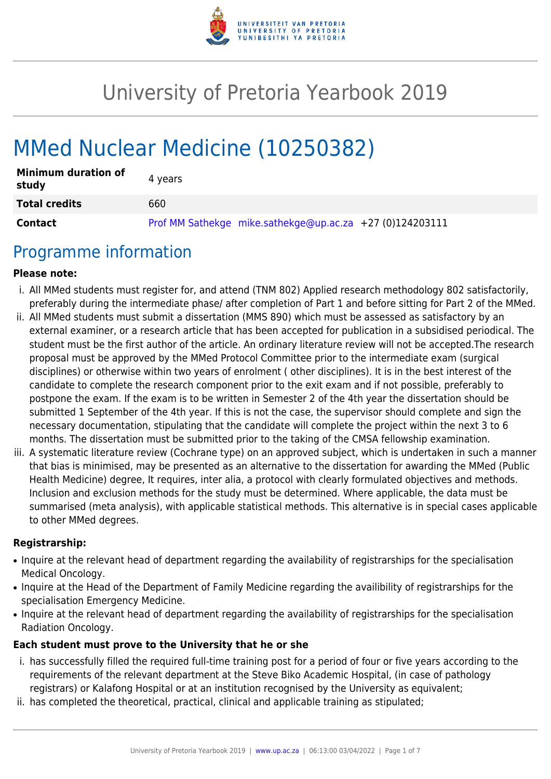

# University of Pretoria Yearbook 2019

# MMed Nuclear Medicine (10250382)

| <b>Minimum duration of</b><br>study | 4 years                                                    |
|-------------------------------------|------------------------------------------------------------|
| <b>Total credits</b>                | 660                                                        |
| Contact                             | Prof MM Sathekge mike.sathekge@up.ac.za $+27$ (0)124203111 |

# Programme information

#### **Please note:**

- i. All MMed students must register for, and attend (TNM 802) Applied research methodology 802 satisfactorily, preferably during the intermediate phase/ after completion of Part 1 and before sitting for Part 2 of the MMed.
- ii. All MMed students must submit a dissertation (MMS 890) which must be assessed as satisfactory by an external examiner, or a research article that has been accepted for publication in a subsidised periodical. The student must be the first author of the article. An ordinary literature review will not be accepted.The research proposal must be approved by the MMed Protocol Committee prior to the intermediate exam (surgical disciplines) or otherwise within two years of enrolment ( other disciplines). It is in the best interest of the candidate to complete the research component prior to the exit exam and if not possible, preferably to postpone the exam. If the exam is to be written in Semester 2 of the 4th year the dissertation should be submitted 1 September of the 4th year. If this is not the case, the supervisor should complete and sign the necessary documentation, stipulating that the candidate will complete the project within the next 3 to 6 months. The dissertation must be submitted prior to the taking of the CMSA fellowship examination.
- iii. A systematic literature review (Cochrane type) on an approved subject, which is undertaken in such a manner that bias is minimised, may be presented as an alternative to the dissertation for awarding the MMed (Public Health Medicine) degree, It requires, inter alia, a protocol with clearly formulated objectives and methods. Inclusion and exclusion methods for the study must be determined. Where applicable, the data must be summarised (meta analysis), with applicable statistical methods. This alternative is in special cases applicable to other MMed degrees.

#### **Registrarship:**

- Inquire at the relevant head of department regarding the availability of registrarships for the specialisation Medical Oncology.
- Inquire at the Head of the Department of Family Medicine regarding the availibility of registrarships for the specialisation Emergency Medicine.
- Inquire at the relevant head of department regarding the availability of registrarships for the specialisation Radiation Oncology.

#### **Each student must prove to the University that he or she**

- i. has successfully filled the required full-time training post for a period of four or five years according to the requirements of the relevant department at the Steve Biko Academic Hospital, (in case of pathology registrars) or Kalafong Hospital or at an institution recognised by the University as equivalent;
- ii. has completed the theoretical, practical, clinical and applicable training as stipulated;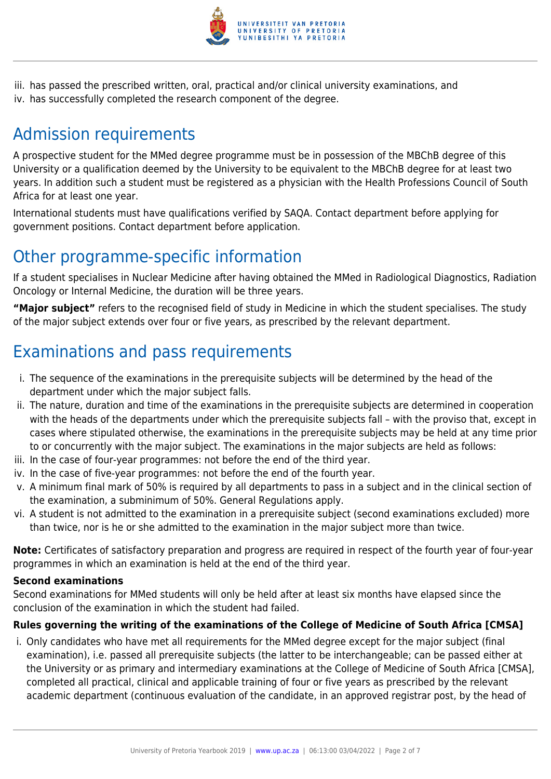

iii. has passed the prescribed written, oral, practical and/or clinical university examinations, and iv. has successfully completed the research component of the degree.

# Admission requirements

A prospective student for the MMed degree programme must be in possession of the MBChB degree of this University or a qualification deemed by the University to be equivalent to the MBChB degree for at least two years. In addition such a student must be registered as a physician with the Health Professions Council of South Africa for at least one year.

International students must have qualifications verified by SAQA. Contact department before applying for government positions. Contact department before application.

# Other programme-specific information

If a student specialises in Nuclear Medicine after having obtained the MMed in Radiological Diagnostics, Radiation Oncology or Internal Medicine, the duration will be three years.

**"Major subject"** refers to the recognised field of study in Medicine in which the student specialises. The study of the major subject extends over four or five years, as prescribed by the relevant department.

# Examinations and pass requirements

- i. The sequence of the examinations in the prerequisite subjects will be determined by the head of the department under which the major subject falls.
- ii. The nature, duration and time of the examinations in the prerequisite subjects are determined in cooperation with the heads of the departments under which the prerequisite subjects fall – with the proviso that, except in cases where stipulated otherwise, the examinations in the prerequisite subjects may be held at any time prior to or concurrently with the major subject. The examinations in the major subjects are held as follows:
- iii. In the case of four-year programmes: not before the end of the third year.
- iv. In the case of five-year programmes: not before the end of the fourth year.
- v. A minimum final mark of 50% is required by all departments to pass in a subject and in the clinical section of the examination, a subminimum of 50%. General Regulations apply.
- vi. A student is not admitted to the examination in a prerequisite subject (second examinations excluded) more than twice, nor is he or she admitted to the examination in the major subject more than twice.

**Note:** Certificates of satisfactory preparation and progress are required in respect of the fourth year of four-year programmes in which an examination is held at the end of the third year.

#### **Second examinations**

Second examinations for MMed students will only be held after at least six months have elapsed since the conclusion of the examination in which the student had failed.

#### **Rules governing the writing of the examinations of the College of Medicine of South Africa [CMSA]**

i. Only candidates who have met all requirements for the MMed degree except for the major subject (final examination), i.e. passed all prerequisite subjects (the latter to be interchangeable; can be passed either at the University or as primary and intermediary examinations at the College of Medicine of South Africa [CMSA], completed all practical, clinical and applicable training of four or five years as prescribed by the relevant academic department (continuous evaluation of the candidate, in an approved registrar post, by the head of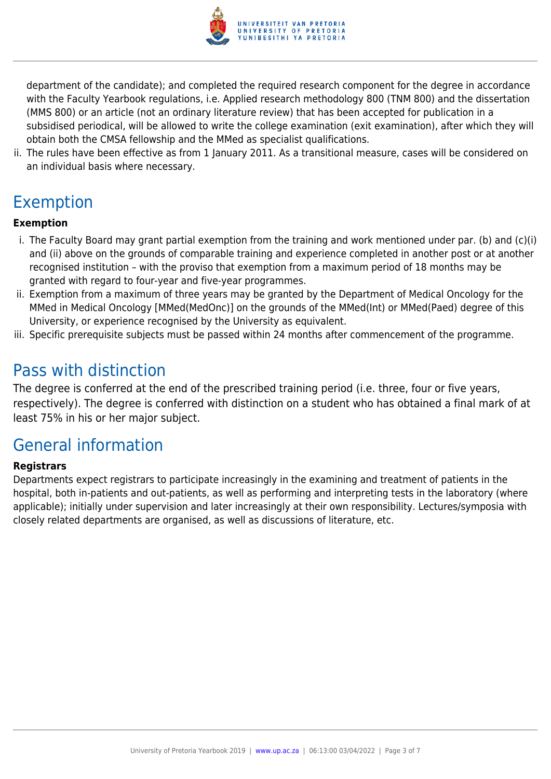

department of the candidate); and completed the required research component for the degree in accordance with the Faculty Yearbook regulations, i.e. Applied research methodology 800 (TNM 800) and the dissertation (MMS 800) or an article (not an ordinary literature review) that has been accepted for publication in a subsidised periodical, will be allowed to write the college examination (exit examination), after which they will obtain both the CMSA fellowship and the MMed as specialist qualifications.

ii. The rules have been effective as from 1 January 2011. As a transitional measure, cases will be considered on an individual basis where necessary.

# Exemption

#### **Exemption**

- i. The Faculty Board may grant partial exemption from the training and work mentioned under par. (b) and (c)(i) and (ii) above on the grounds of comparable training and experience completed in another post or at another recognised institution – with the proviso that exemption from a maximum period of 18 months may be granted with regard to four-year and five-year programmes.
- ii. Exemption from a maximum of three years may be granted by the Department of Medical Oncology for the MMed in Medical Oncology [MMed(MedOnc)] on the grounds of the MMed(Int) or MMed(Paed) degree of this University, or experience recognised by the University as equivalent.
- iii. Specific prerequisite subjects must be passed within 24 months after commencement of the programme.

## Pass with distinction

The degree is conferred at the end of the prescribed training period (i.e. three, four or five years, respectively). The degree is conferred with distinction on a student who has obtained a final mark of at least 75% in his or her major subject.

# General information

#### **Registrars**

Departments expect registrars to participate increasingly in the examining and treatment of patients in the hospital, both in-patients and out-patients, as well as performing and interpreting tests in the laboratory (where applicable); initially under supervision and later increasingly at their own responsibility. Lectures/symposia with closely related departments are organised, as well as discussions of literature, etc.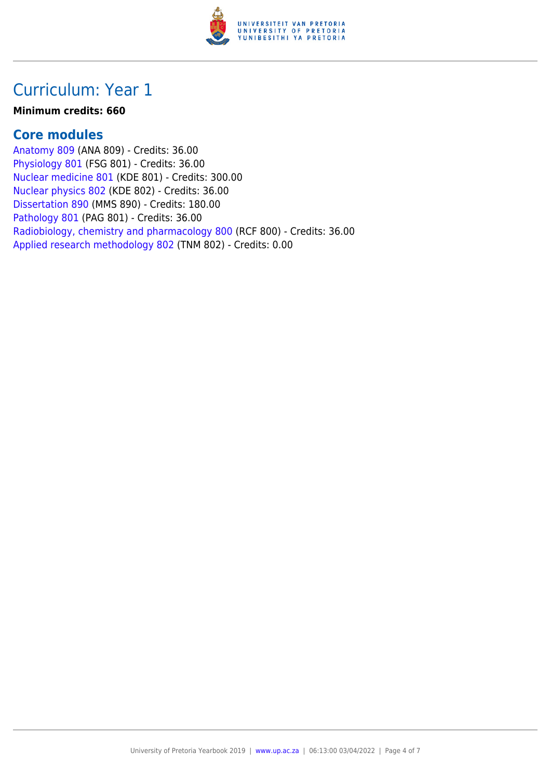

## Curriculum: Year 1

#### **Minimum credits: 660**

#### **Core modules**

[Anatomy 809](https://www.up.ac.za/yearbooks/2019/modules/view/ANA 809) (ANA 809) - Credits: 36.00 [Physiology 801](https://www.up.ac.za/yearbooks/2019/modules/view/FSG 801) (FSG 801) - Credits: 36.00 [Nuclear medicine 801](https://www.up.ac.za/yearbooks/2019/modules/view/KDE 801) (KDE 801) - Credits: 300.00 [Nuclear physics 802](https://www.up.ac.za/yearbooks/2019/modules/view/KDE 802) (KDE 802) - Credits: 36.00 [Dissertation 890](https://www.up.ac.za/yearbooks/2019/modules/view/MMS 890) (MMS 890) - Credits: 180.00 [Pathology 801](https://www.up.ac.za/yearbooks/2019/modules/view/PAG 801) (PAG 801) - Credits: 36.00 [Radiobiology, chemistry and pharmacology 800](https://www.up.ac.za/yearbooks/2019/modules/view/RCF 800) (RCF 800) - Credits: 36.00 [Applied research methodology 802](https://www.up.ac.za/yearbooks/2019/modules/view/TNM 802) (TNM 802) - Credits: 0.00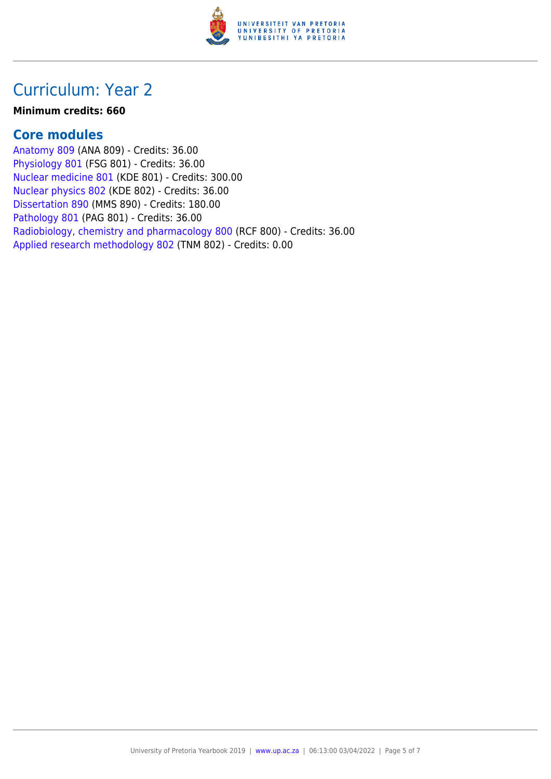

## Curriculum: Year 2

#### **Minimum credits: 660**

#### **Core modules**

[Anatomy 809](https://www.up.ac.za/yearbooks/2019/modules/view/ANA 809) (ANA 809) - Credits: 36.00 [Physiology 801](https://www.up.ac.za/yearbooks/2019/modules/view/FSG 801) (FSG 801) - Credits: 36.00 [Nuclear medicine 801](https://www.up.ac.za/yearbooks/2019/modules/view/KDE 801) (KDE 801) - Credits: 300.00 [Nuclear physics 802](https://www.up.ac.za/yearbooks/2019/modules/view/KDE 802) (KDE 802) - Credits: 36.00 [Dissertation 890](https://www.up.ac.za/yearbooks/2019/modules/view/MMS 890) (MMS 890) - Credits: 180.00 [Pathology 801](https://www.up.ac.za/yearbooks/2019/modules/view/PAG 801) (PAG 801) - Credits: 36.00 [Radiobiology, chemistry and pharmacology 800](https://www.up.ac.za/yearbooks/2019/modules/view/RCF 800) (RCF 800) - Credits: 36.00 [Applied research methodology 802](https://www.up.ac.za/yearbooks/2019/modules/view/TNM 802) (TNM 802) - Credits: 0.00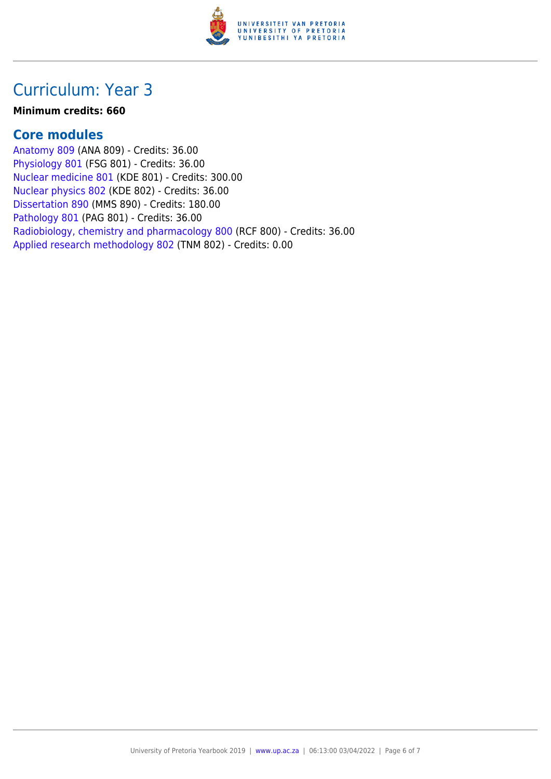

## Curriculum: Year 3

#### **Minimum credits: 660**

#### **Core modules**

[Anatomy 809](https://www.up.ac.za/yearbooks/2019/modules/view/ANA 809) (ANA 809) - Credits: 36.00 [Physiology 801](https://www.up.ac.za/yearbooks/2019/modules/view/FSG 801) (FSG 801) - Credits: 36.00 [Nuclear medicine 801](https://www.up.ac.za/yearbooks/2019/modules/view/KDE 801) (KDE 801) - Credits: 300.00 [Nuclear physics 802](https://www.up.ac.za/yearbooks/2019/modules/view/KDE 802) (KDE 802) - Credits: 36.00 [Dissertation 890](https://www.up.ac.za/yearbooks/2019/modules/view/MMS 890) (MMS 890) - Credits: 180.00 [Pathology 801](https://www.up.ac.za/yearbooks/2019/modules/view/PAG 801) (PAG 801) - Credits: 36.00 [Radiobiology, chemistry and pharmacology 800](https://www.up.ac.za/yearbooks/2019/modules/view/RCF 800) (RCF 800) - Credits: 36.00 [Applied research methodology 802](https://www.up.ac.za/yearbooks/2019/modules/view/TNM 802) (TNM 802) - Credits: 0.00